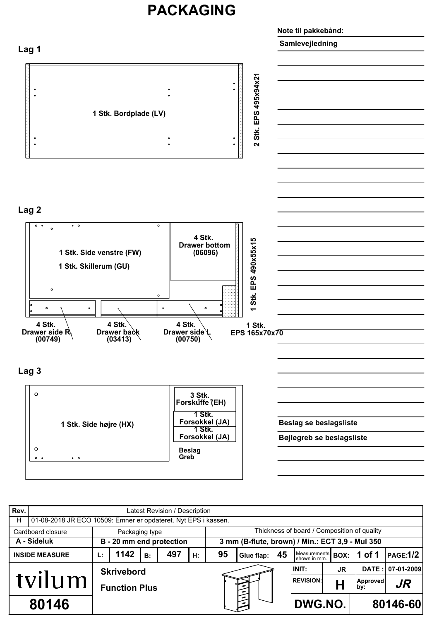## **PACKAGING**



| Rev.                  | Latest Revision / Description                                  |                      |                          |    |     |    |                                                 |                      |  |                                   |           |                 |                 |  |
|-----------------------|----------------------------------------------------------------|----------------------|--------------------------|----|-----|----|-------------------------------------------------|----------------------|--|-----------------------------------|-----------|-----------------|-----------------|--|
| H                     | 01-08-2018 JR ECO 10509: Emner er opdateret. Nyt EPS i kassen. |                      |                          |    |     |    |                                                 |                      |  |                                   |           |                 |                 |  |
|                       | Cardboard closure                                              |                      | Packaging type           |    |     |    | Thickness of board / Composition of quality     |                      |  |                                   |           |                 |                 |  |
| A - Sideluk           |                                                                |                      | B - 20 mm end protection |    |     |    | 3 mm (B-flute, brown) / Min.: ECT 3,9 - Mul 350 |                      |  |                                   |           |                 |                 |  |
| <b>INSIDE MEASURE</b> |                                                                | Ŀ.                   | 1142                     | B: | 497 | Н: | 95                                              | Glue flap: 45        |  | Measurements BOX:<br>shown in mm. |           | 1 of 1          | <b>PAGE:1/2</b> |  |
| tvilum                |                                                                |                      | <b>Skrivebord</b>        |    |     |    |                                                 |                      |  | INIT:                             | <b>JR</b> | DATA:           | 07-01-2009      |  |
|                       |                                                                | <b>Function Plus</b> |                          |    |     |    |                                                 |                      |  | <b>REVISION:</b>                  |           | Approved<br>by: | JR              |  |
| 80146                 |                                                                |                      |                          |    |     |    |                                                 | يخسخ<br>DWG.NO.<br>ኈ |  |                                   |           | 80146-60        |                 |  |